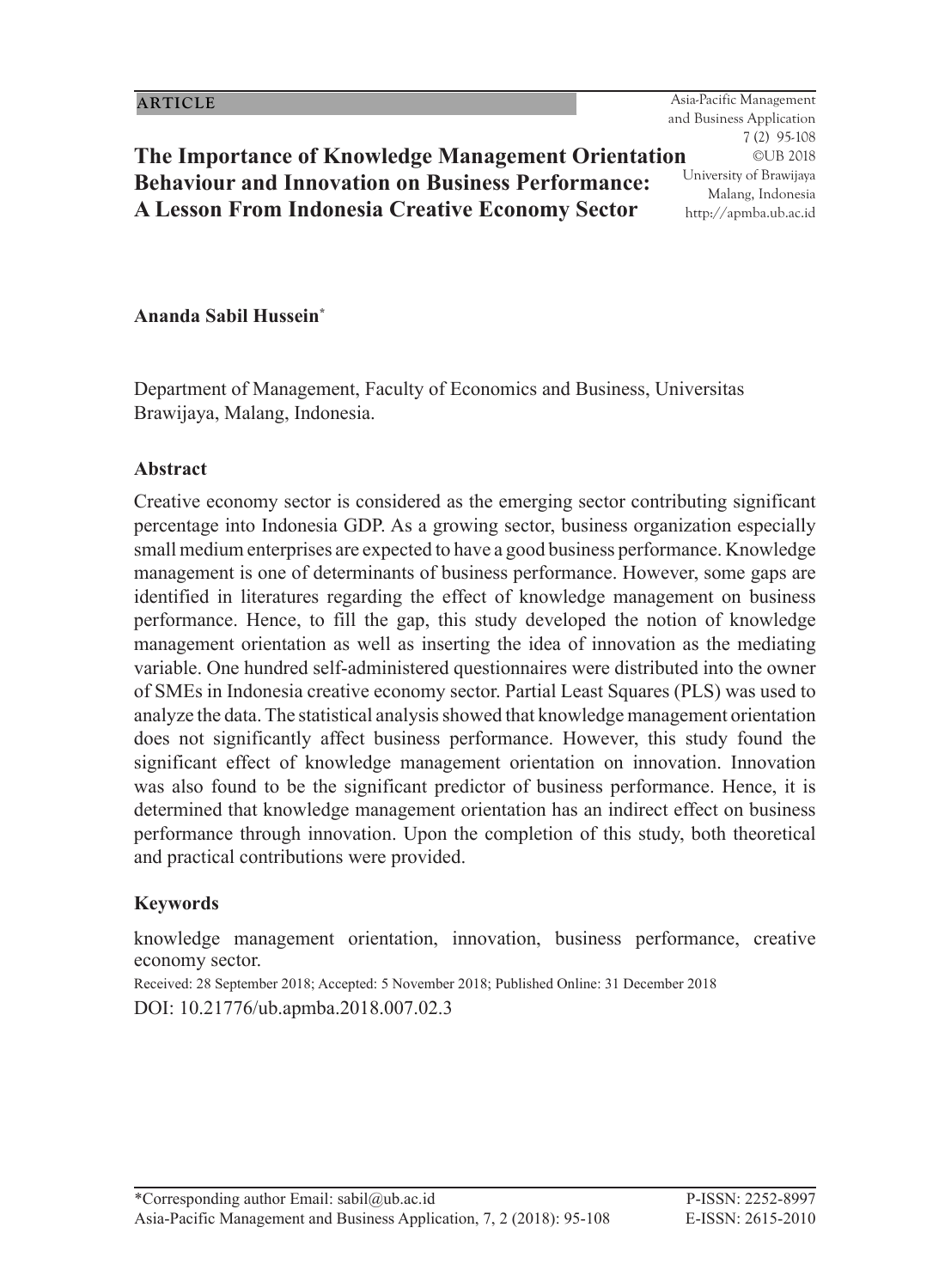95 Asia-Pacific Management and Business Application 7 (2) 95-108 ©UB 2018 University of Brawijaya Malang, Indonesia http://apmba.ub.ac.id

# **The Importance of Knowledge Management Orientation Behaviour and Innovation on Business Performance: A Lesson From Indonesia Creative Economy Sector**

## **Ananda Sabil Hussein\***

Department of Management, Faculty of Economics and Business, Universitas Brawijaya, Malang, Indonesia.

#### **Abstract**

Creative economy sector is considered as the emerging sector contributing significant percentage into Indonesia GDP. As a growing sector, business organization especially small medium enterprises are expected to have a good business performance. Knowledge management is one of determinants of business performance. However, some gaps are identified in literatures regarding the effect of knowledge management on business performance. Hence, to fill the gap, this study developed the notion of knowledge management orientation as well as inserting the idea of innovation as the mediating variable. One hundred self-administered questionnaires were distributed into the owner of SMEs in Indonesia creative economy sector. Partial Least Squares (PLS) was used to analyze the data. The statistical analysis showed that knowledge management orientation does not significantly affect business performance. However, this study found the significant effect of knowledge management orientation on innovation. Innovation was also found to be the significant predictor of business performance. Hence, it is determined that knowledge management orientation has an indirect effect on business performance through innovation. Upon the completion of this study, both theoretical and practical contributions were provided.

### **Keywords**

knowledge management orientation, innovation, business performance, creative economy sector.

Received: 28 September 2018; Accepted: 5 November 2018; Published Online: 31 December 2018 DOI: 10.21776/ub.apmba.2018.007.02.3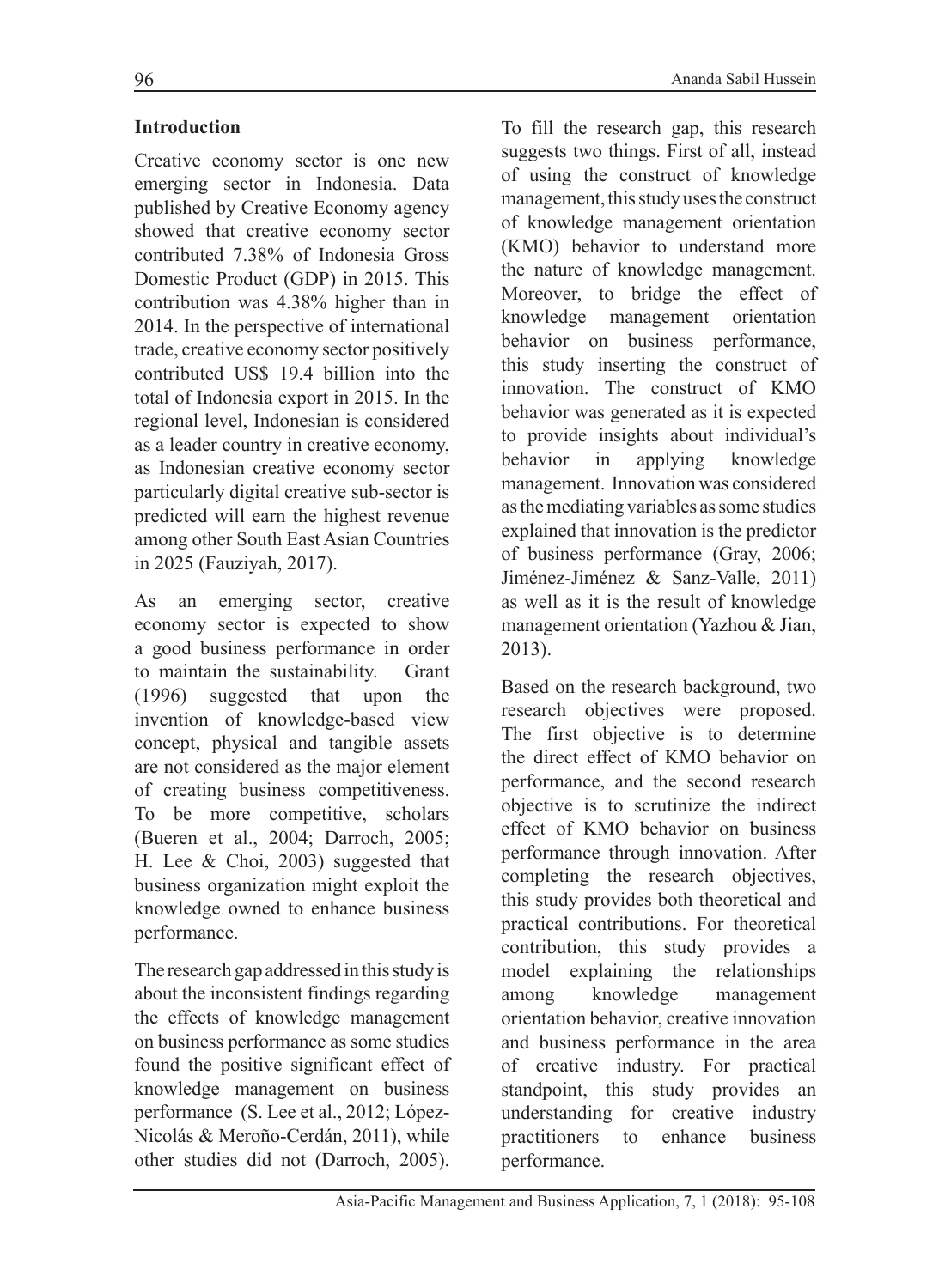## **Introduction**

Creative economy sector is one new emerging sector in Indonesia. Data published by Creative Economy agency showed that creative economy sector contributed 7.38% of Indonesia Gross Domestic Product (GDP) in 2015. This contribution was 4.38% higher than in 2014. In the perspective of international trade, creative economy sector positively contributed US\$ 19.4 billion into the total of Indonesia export in 2015. In the regional level, Indonesian is considered as a leader country in creative economy, as Indonesian creative economy sector particularly digital creative sub-sector is predicted will earn the highest revenue among other South East Asian Countries in 2025 (Fauziyah, 2017).

As an emerging sector, creative economy sector is expected to show a good business performance in order to maintain the sustainability. Grant (1996) suggested that upon the invention of knowledge-based view concept, physical and tangible assets are not considered as the major element of creating business competitiveness. To be more competitive, scholars (Bueren et al., 2004; Darroch, 2005; H. Lee & Choi, 2003) suggested that business organization might exploit the knowledge owned to enhance business performance.

The research gap addressed in this study is about the inconsistent findings regarding the effects of knowledge management on business performance as some studies found the positive significant effect of knowledge management on business performance (S. Lee et al., 2012; López-Nicolás & Meroño-Cerdán, 2011), while other studies did not (Darroch, 2005).

To fill the research gap, this research suggests two things. First of all, instead of using the construct of knowledge management, this study uses the construct of knowledge management orientation (KMO) behavior to understand more the nature of knowledge management. Moreover, to bridge the effect of knowledge management orientation behavior on business performance, this study inserting the construct of innovation. The construct of KMO behavior was generated as it is expected to provide insights about individual's behavior in applying knowledge management. Innovation was considered as the mediating variables as some studies explained that innovation is the predictor of business performance (Gray, 2006; Jiménez-Jiménez & Sanz-Valle, 2011) as well as it is the result of knowledge management orientation (Yazhou & Jian, 2013).

Based on the research background, two research objectives were proposed. The first objective is to determine the direct effect of KMO behavior on performance, and the second research objective is to scrutinize the indirect effect of KMO behavior on business performance through innovation. After completing the research objectives, this study provides both theoretical and practical contributions. For theoretical contribution, this study provides a model explaining the relationships among knowledge management orientation behavior, creative innovation and business performance in the area of creative industry. For practical standpoint, this study provides an understanding for creative industry practitioners to enhance business performance.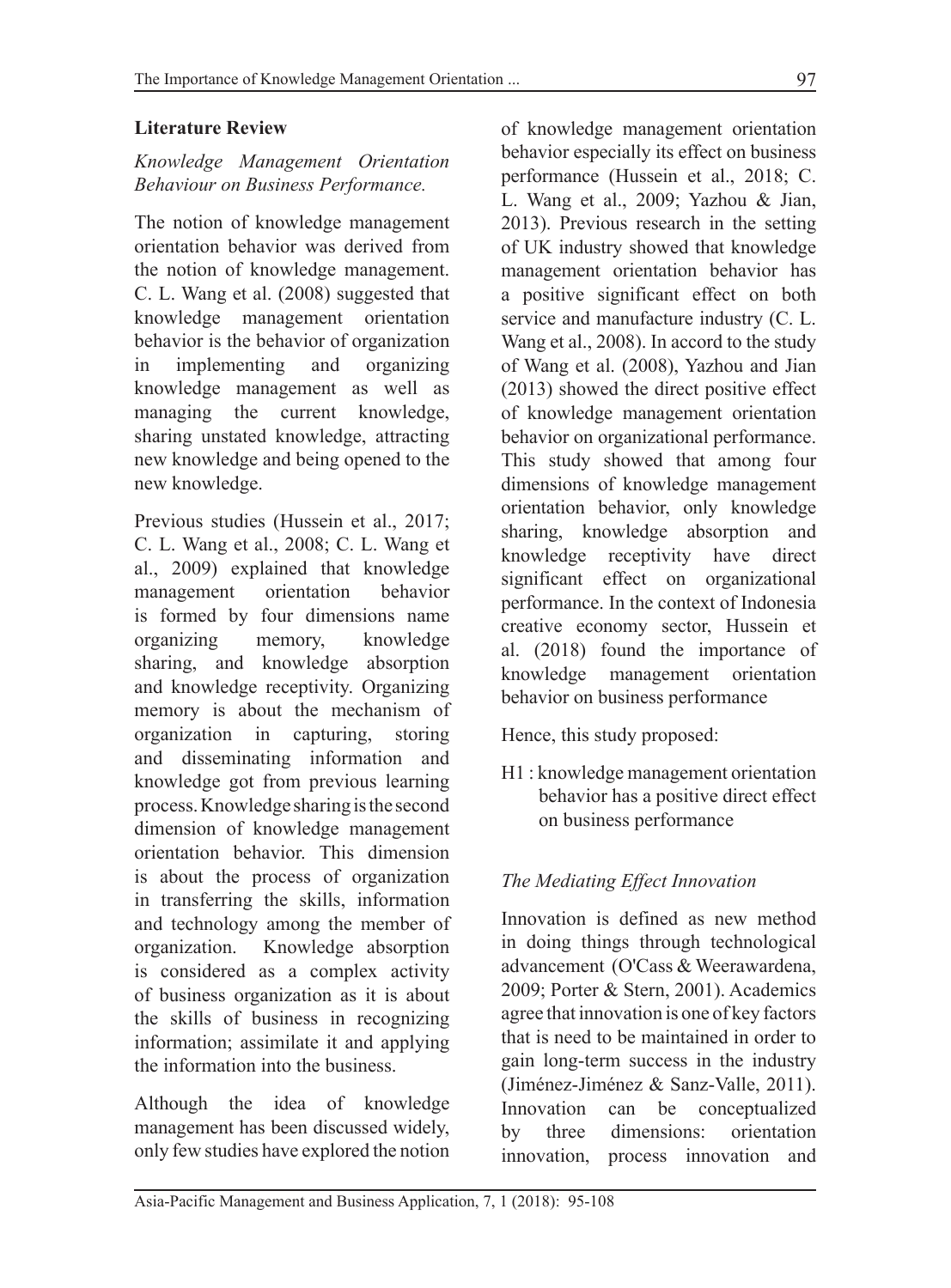## **Literature Review**

## *Knowledge Management Orientation Behaviour on Business Performance.*

The notion of knowledge management orientation behavior was derived from the notion of knowledge management. C. L. Wang et al. (2008) suggested that knowledge management orientation behavior is the behavior of organization in implementing and organizing knowledge management as well as managing the current knowledge, sharing unstated knowledge, attracting new knowledge and being opened to the new knowledge.

Previous studies (Hussein et al., 2017; C. L. Wang et al., 2008; C. L. Wang et al., 2009) explained that knowledge management orientation behavior is formed by four dimensions name organizing memory, knowledge sharing, and knowledge absorption and knowledge receptivity. Organizing memory is about the mechanism of organization in capturing, storing and disseminating information and knowledge got from previous learning process. Knowledge sharing is the second dimension of knowledge management orientation behavior. This dimension is about the process of organization in transferring the skills, information and technology among the member of organization. Knowledge absorption is considered as a complex activity of business organization as it is about the skills of business in recognizing information; assimilate it and applying the information into the business.

Although the idea of knowledge management has been discussed widely, only few studies have explored the notion of knowledge management orientation behavior especially its effect on business performance (Hussein et al., 2018; C. L. Wang et al., 2009; Yazhou & Jian, 2013). Previous research in the setting of UK industry showed that knowledge management orientation behavior has a positive significant effect on both service and manufacture industry (C. L. Wang et al., 2008). In accord to the study of Wang et al. (2008), Yazhou and Jian (2013) showed the direct positive effect of knowledge management orientation behavior on organizational performance. This study showed that among four dimensions of knowledge management orientation behavior, only knowledge sharing, knowledge absorption and knowledge receptivity have direct significant effect on organizational performance. In the context of Indonesia creative economy sector, Hussein et al. (2018) found the importance of knowledge management orientation behavior on business performance

Hence, this study proposed:

H1 : knowledge management orientation behavior has a positive direct effect on business performance

## *The Mediating Effect Innovation*

Innovation is defined as new method in doing things through technological advancement (O'Cass & Weerawardena, 2009; Porter & Stern, 2001). Academics agree that innovation is one of key factors that is need to be maintained in order to gain long-term success in the industry (Jiménez-Jiménez & Sanz-Valle, 2011). Innovation can be conceptualized by three dimensions: orientation innovation, process innovation and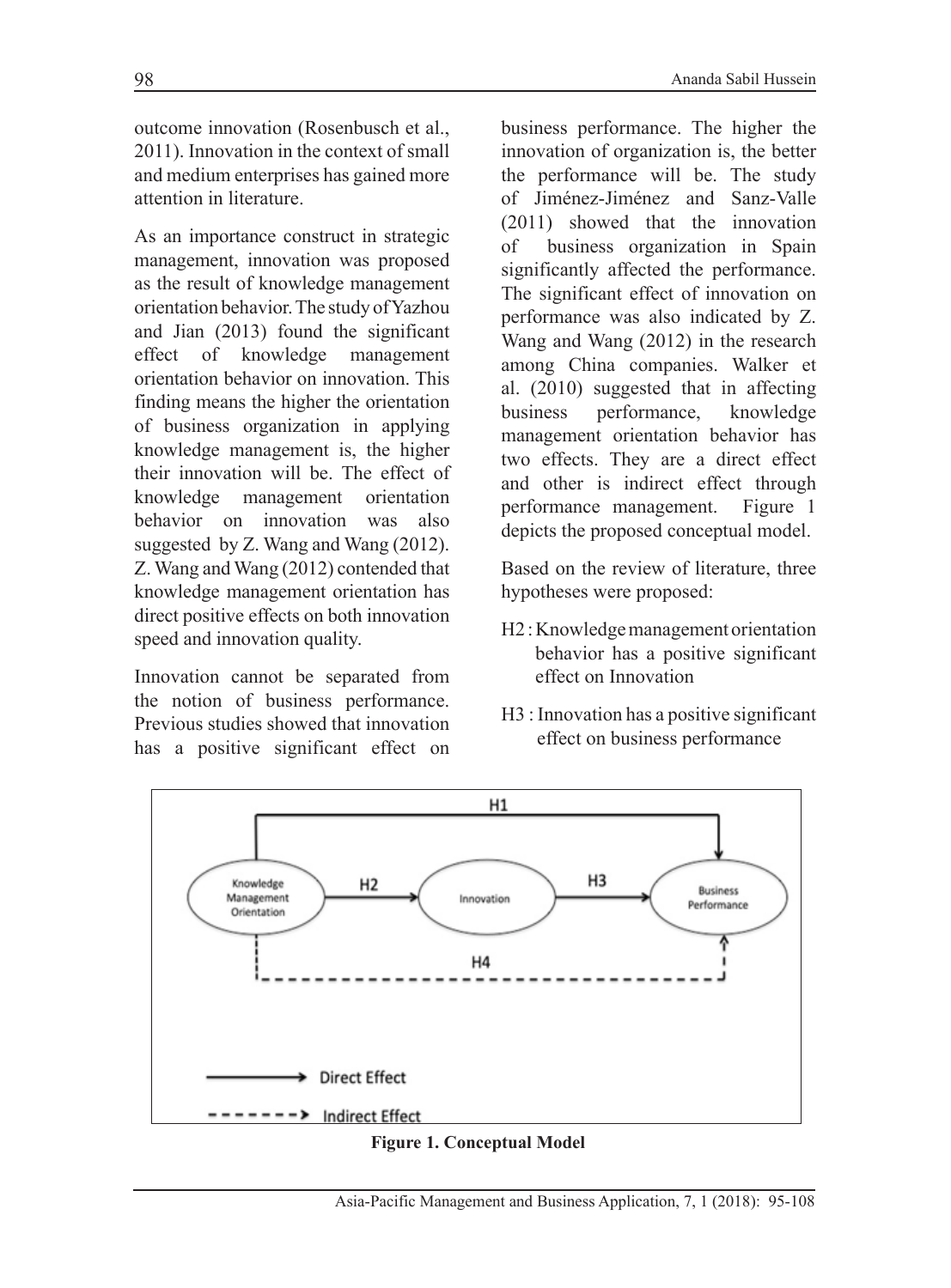outcome innovation (Rosenbusch et al., 2011). Innovation in the context of small and medium enterprises has gained more attention in literature.

As an importance construct in strategic management, innovation was proposed as the result of knowledge management orientation behavior. The study of Yazhou and Jian (2013) found the significant effect of knowledge management orientation behavior on innovation. This finding means the higher the orientation of business organization in applying knowledge management is, the higher their innovation will be. The effect of knowledge management orientation behavior on innovation was also suggested by Z. Wang and Wang (2012). Z. Wang and Wang (2012) contended that knowledge management orientation has direct positive effects on both innovation speed and innovation quality.

Innovation cannot be separated from the notion of business performance. Previous studies showed that innovation has a positive significant effect on business performance. The higher the innovation of organization is, the better the performance will be. The study of Jiménez-Jiménez and Sanz-Valle (2011) showed that the innovation of business organization in Spain significantly affected the performance. The significant effect of innovation on performance was also indicated by Z. Wang and Wang (2012) in the research among China companies. Walker et al. (2010) suggested that in affecting business performance, knowledge management orientation behavior has two effects. They are a direct effect and other is indirect effect through performance management. Figure 1 depicts the proposed conceptual model.

Based on the review of literature, three hypotheses were proposed:

- H2 : Knowledge management orientation behavior has a positive significant effect on Innovation
- H3 : Innovation has a positive significant effect on business performance



#### **Figure 1. Conceptual Model**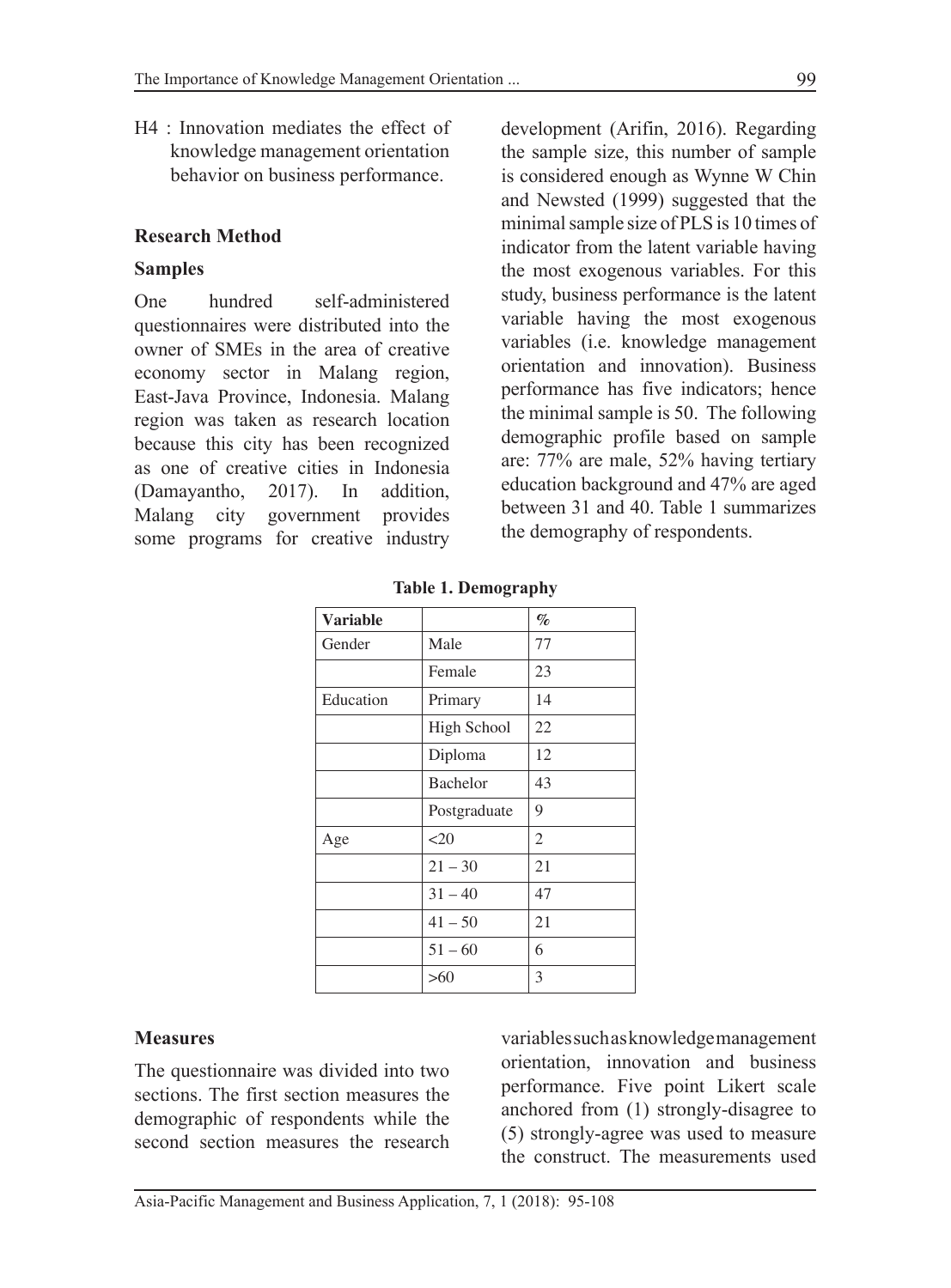H4 : Innovation mediates the effect of knowledge management orientation behavior on business performance.

#### **Research Method**

#### **Samples**

One hundred self-administered questionnaires were distributed into the owner of SMEs in the area of creative economy sector in Malang region, East-Java Province, Indonesia. Malang region was taken as research location because this city has been recognized as one of creative cities in Indonesia (Damayantho, 2017). In addition, Malang city government provides some programs for creative industry development (Arifin, 2016). Regarding the sample size, this number of sample is considered enough as Wynne W Chin and Newsted (1999) suggested that the minimal sample size of PLS is 10 times of indicator from the latent variable having the most exogenous variables. For this study, business performance is the latent variable having the most exogenous variables (i.e. knowledge management orientation and innovation). Business performance has five indicators; hence the minimal sample is 50. The following demographic profile based on sample are: 77% are male, 52% having tertiary education background and 47% are aged between 31 and 40. Table 1 summarizes the demography of respondents.

| Variable  |                    | $\%$ |
|-----------|--------------------|------|
| Gender    | Male               | 77   |
|           | Female             | 23   |
| Education | Primary            | 14   |
|           | <b>High School</b> | 22   |
|           | Diploma            | 12   |
|           | <b>Bachelor</b>    | 43   |
|           | Postgraduate       | 9    |
| Age       | <20                | 2    |
|           | $21 - 30$          | 21   |
|           | $31 - 40$          | 47   |
|           | $41 - 50$          | 21   |
|           | $51 - 60$          | 6    |
|           | $>60$              | 3    |

**Table 1. Demography**

#### **Measures**

The questionnaire was divided into two sections. The first section measures the demographic of respondents while the second section measures the research variables such as knowledge management orientation, innovation and business performance. Five point Likert scale anchored from (1) strongly-disagree to (5) strongly-agree was used to measure the construct. The measurements used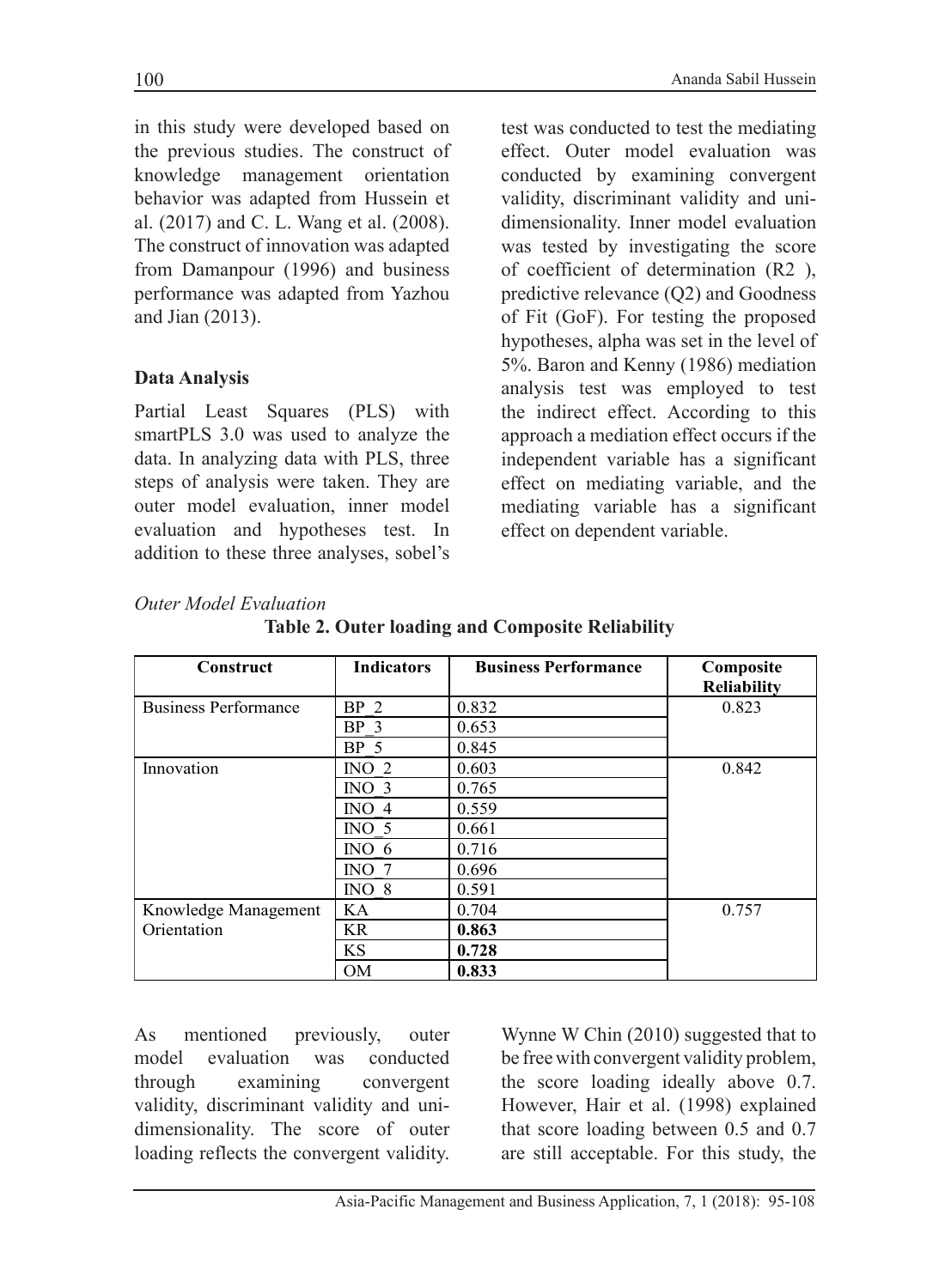in this study were developed based on the previous studies. The construct of knowledge management orientation behavior was adapted from Hussein et al. (2017) and C. L. Wang et al. (2008). The construct of innovation was adapted from Damanpour (1996) and business performance was adapted from Yazhou and Jian (2013).

## **Data Analysis**

Partial Least Squares (PLS) with smartPLS 3.0 was used to analyze the data. In analyzing data with PLS, three steps of analysis were taken. They are outer model evaluation, inner model evaluation and hypotheses test. In addition to these three analyses, sobel's test was conducted to test the mediating effect. Outer model evaluation was conducted by examining convergent validity, discriminant validity and unidimensionality. Inner model evaluation was tested by investigating the score of coefficient of determination (R2 ), predictive relevance (Q2) and Goodness of Fit (GoF). For testing the proposed hypotheses, alpha was set in the level of 5%. Baron and Kenny (1986) mediation analysis test was employed to test the indirect effect. According to this approach a mediation effect occurs if the independent variable has a significant effect on mediating variable, and the mediating variable has a significant effect on dependent variable.

#### *Outer Model Evaluation*

| <b>Construct</b>            | <b>Indicators</b> | <b>Business Performance</b> | Composite          |
|-----------------------------|-------------------|-----------------------------|--------------------|
|                             |                   |                             | <b>Reliability</b> |
| <b>Business Performance</b> | BP <sub>2</sub>   | 0.832                       | 0.823              |
|                             | BP <sub>3</sub>   | 0.653                       |                    |
|                             | BP <sub>5</sub>   | 0.845                       |                    |
| Innovation                  | $\overline{N}$ 2  | 0.603                       | 0.842              |
|                             | INO <sub>3</sub>  | 0.765                       |                    |
|                             | $INO$ 4           | 0.559                       |                    |
|                             | $\overline{N}O$ 5 | 0.661                       |                    |
|                             | $\text{INO}$ 6    | 0.716                       |                    |
|                             | $\overline{N}$ 7  | 0.696                       |                    |
|                             | $\rm{INO}$ 8      | 0.591                       |                    |
| Knowledge Management        | KA                | 0.704                       | 0.757              |
| Orientation                 | <b>KR</b>         | 0.863                       |                    |
|                             | <b>KS</b>         | 0.728                       |                    |
|                             | <b>OM</b>         | 0.833                       |                    |

**Table 2. Outer loading and Composite Reliability**

As mentioned previously, outer model evaluation was conducted through examining convergent validity, discriminant validity and unidimensionality. The score of outer loading reflects the convergent validity.

Wynne W Chin (2010) suggested that to be free with convergent validity problem, the score loading ideally above 0.7. However, Hair et al. (1998) explained that score loading between 0.5 and 0.7 are still acceptable. For this study, the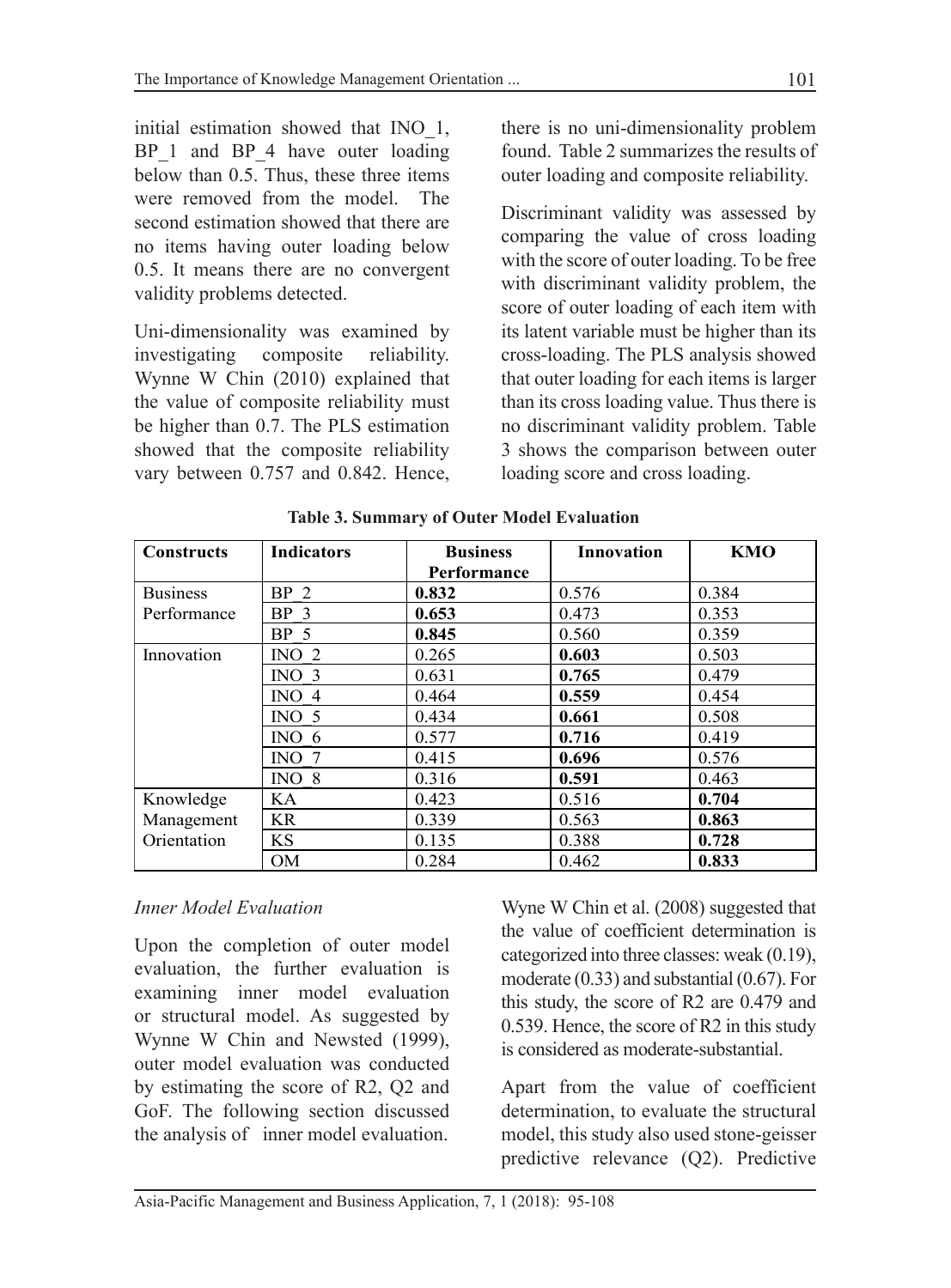initial estimation showed that INO\_1, BP 1 and BP 4 have outer loading below than 0.5. Thus, these three items were removed from the model. The second estimation showed that there are no items having outer loading below 0.5. It means there are no convergent validity problems detected.

Uni-dimensionality was examined by investigating composite reliability. Wynne W Chin (2010) explained that the value of composite reliability must be higher than 0.7. The PLS estimation showed that the composite reliability vary between 0.757 and 0.842. Hence, there is no uni-dimensionality problem found. Table 2 summarizes the results of outer loading and composite reliability.

Discriminant validity was assessed by comparing the value of cross loading with the score of outer loading. To be free with discriminant validity problem, the score of outer loading of each item with its latent variable must be higher than its cross-loading. The PLS analysis showed that outer loading for each items is larger than its cross loading value. Thus there is no discriminant validity problem. Table 3 shows the comparison between outer loading score and cross loading.

| <b>Constructs</b> | <b>Indicators</b> | <b>Business</b> | <b>Innovation</b> | <b>KMO</b> |
|-------------------|-------------------|-----------------|-------------------|------------|
|                   |                   | Performance     |                   |            |
| <b>Business</b>   | BP <sub>2</sub>   | 0.832           | 0.576             | 0.384      |
| Performance       | BP <sub>3</sub>   | 0.653           | 0.473             | 0.353      |
|                   | BP <sub>5</sub>   | 0.845           | 0.560             | 0.359      |
| Innovation        | INO $2$           | 0.265           | 0.603             | 0.503      |
|                   | INO $3$           | 0.631           | 0.765             | 0.479      |
|                   | INO <sub>4</sub>  | 0.464           | 0.559             | 0.454      |
|                   | INO <sub>5</sub>  | 0.434           | 0.661             | 0.508      |
|                   | $\text{INO}$ 6    | 0.577           | 0.716             | 0.419      |
|                   | $\rm{NO}$         | 0.415           | 0.696             | 0.576      |
|                   | $INO_8$           | 0.316           | 0.591             | 0.463      |
| Knowledge         | KA                | 0.423           | 0.516             | 0.704      |
| Management        | <b>KR</b>         | 0.339           | 0.563             | 0.863      |
| Orientation       | <b>KS</b>         | 0.135           | 0.388             | 0.728      |
|                   | <b>OM</b>         | 0.284           | 0.462             | 0.833      |

**Table 3. Summary of Outer Model Evaluation**

## *Inner Model Evaluation*

Upon the completion of outer model evaluation, the further evaluation is examining inner model evaluation or structural model. As suggested by Wynne W Chin and Newsted (1999), outer model evaluation was conducted by estimating the score of R2, Q2 and GoF. The following section discussed the analysis of inner model evaluation.

Wyne W Chin et al. (2008) suggested that the value of coefficient determination is categorized into three classes: weak (0.19), moderate (0.33) and substantial (0.67). For this study, the score of R2 are 0.479 and 0.539. Hence, the score of R2 in this study is considered as moderate-substantial.

Apart from the value of coefficient determination, to evaluate the structural model, this study also used stone-geisser predictive relevance (Q2). Predictive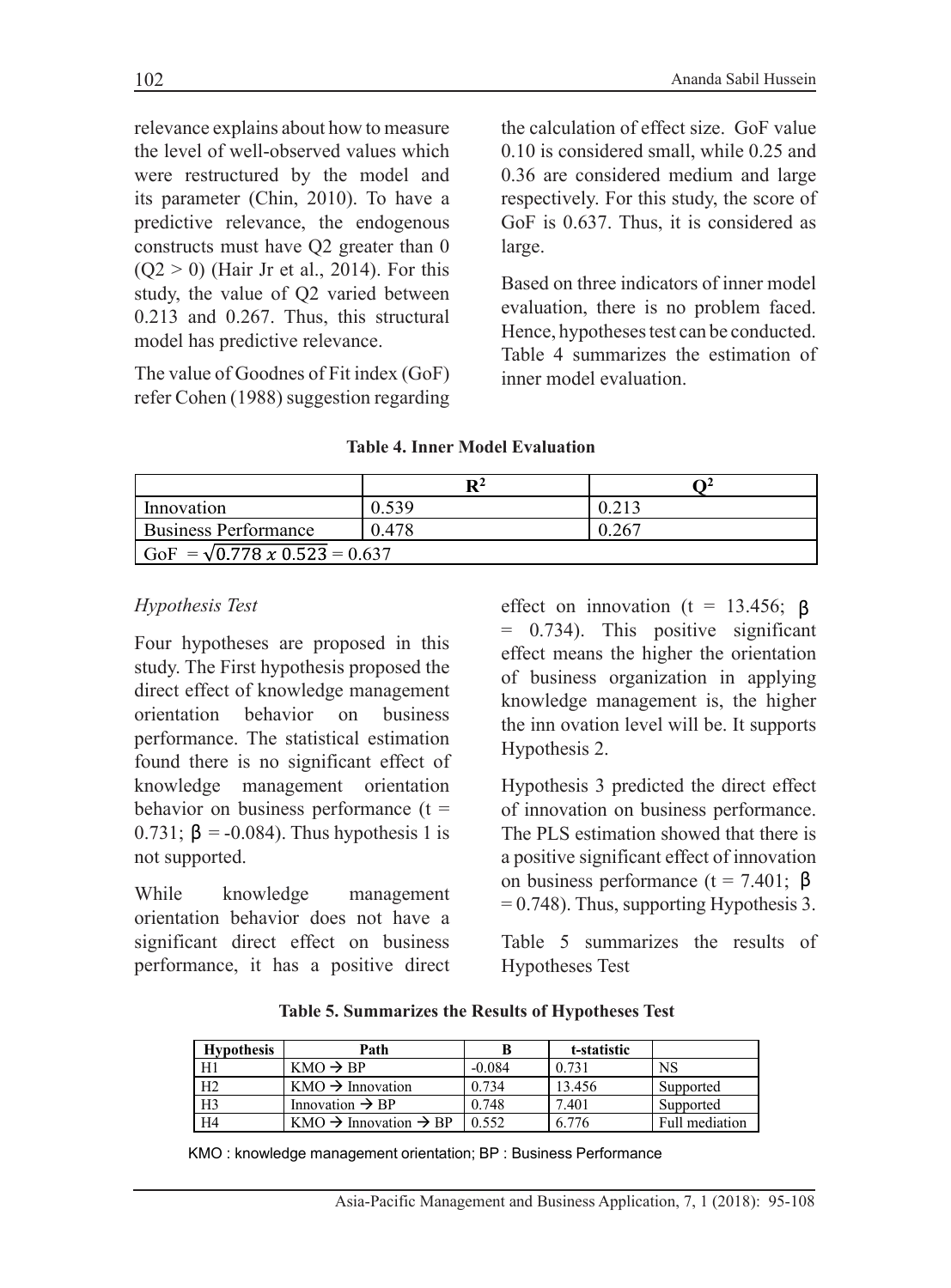relevance explains about how to measure the level of well-observed values which were restructured by the model and its parameter (Chin, 2010). To have a predictive relevance, the endogenous constructs must have Q2 greater than 0  $(Q2 > 0)$  (Hair Jr et al., 2014). For this study, the value of Q2 varied between 0.213 and 0.267. Thus, this structural model has predictive relevance.

The value of Goodnes of Fit index (GoF) refer Cohen (1988) suggestion regarding the calculation of effect size. GoF value 0.10 is considered small, while 0.25 and 0.36 are considered medium and large respectively. For this study, the score of GoF is 0.637. Thus, it is considered as large.

Based on three indicators of inner model evaluation, there is no problem faced. Hence, hypotheses test can be conducted. Table 4 summarizes the estimation of inner model evaluation.

|                                      | $\mathbf{R}^2$ |     |  |
|--------------------------------------|----------------|-----|--|
| Innovation                           | 0.539          |     |  |
| <b>Business Performance</b>          | 0.478          | 267 |  |
| GoF = $\sqrt{0.778 x 0.523}$ = 0.637 |                |     |  |

#### **Table 4. Inner Model Evaluation**

#### *Hypothesis Test*

Four hypotheses are proposed in this study. The First hypothesis proposed the direct effect of knowledge management orientation behavior on business performance. The statistical estimation found there is no significant effect of knowledge management orientation behavior on business performance  $(t =$ 0.731;  $\beta$  = -0.084). Thus hypothesis 1 is not supported.

While knowledge management orientation behavior does not have a significant direct effect on business performance, it has a positive direct effect on innovation ( $t = 13.456$ ;  $\beta$ = 0.734). This positive significant effect means the higher the orientation of business organization in applying knowledge management is, the higher the inn ovation level will be. It supports Hypothesis 2.

Hypothesis 3 predicted the direct effect of innovation on business performance. The PLS estimation showed that there is a positive significant effect of innovation on business performance ( $t = 7.401$ ;  $\beta$  $= 0.748$ ). Thus, supporting Hypothesis 3.

Table 5 summarizes the results of Hypotheses Test

| Table 5. Summarizes the Results of Hypotheses Test |  |  |  |
|----------------------------------------------------|--|--|--|
|----------------------------------------------------|--|--|--|

| <b>Hypothesis</b> | Path                                               |          | t-statistic |                |
|-------------------|----------------------------------------------------|----------|-------------|----------------|
| H1                | $KMO \rightarrow BP$                               | $-0.084$ | 0.731       | <b>NS</b>      |
| H <sub>2</sub>    | $KMO \rightarrow Innovation$                       | 0.734    | 13.456      | Supported      |
| H <sub>3</sub>    | Innovation $\rightarrow$ BP                        | 0.748    | 7.401       | Supported      |
| H <sub>4</sub>    | $KMO \rightarrow \text{Innovation} \rightarrow BP$ | 0.552    | 6.776       | Full mediation |

KMO : knowledge management orientation; BP : Business Performance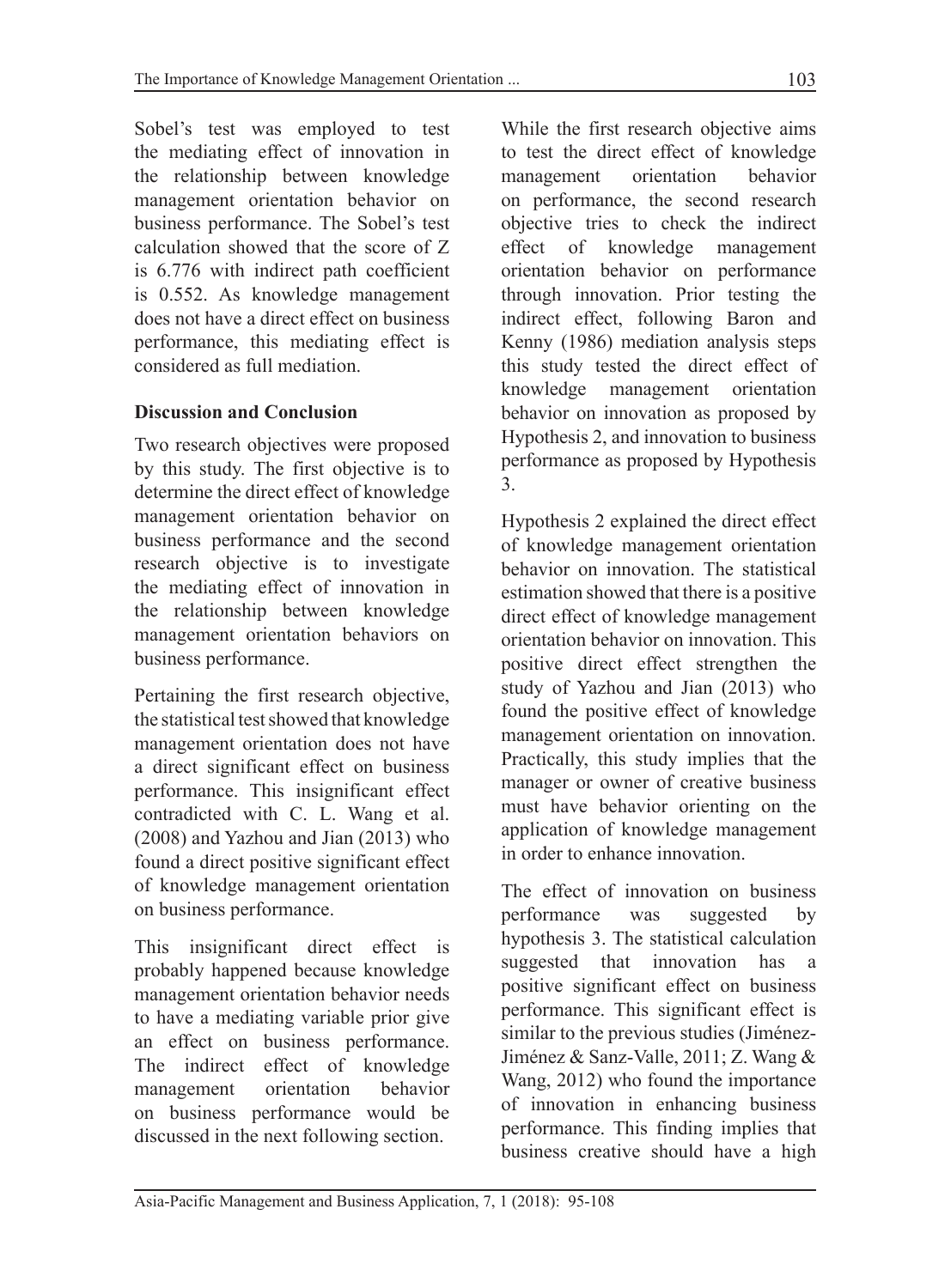Sobel's test was employed to test the mediating effect of innovation in the relationship between knowledge management orientation behavior on business performance. The Sobel's test calculation showed that the score of Z is 6.776 with indirect path coefficient is 0.552. As knowledge management does not have a direct effect on business performance, this mediating effect is considered as full mediation.

## **Discussion and Conclusion**

Two research objectives were proposed by this study. The first objective is to determine the direct effect of knowledge management orientation behavior on business performance and the second research objective is to investigate the mediating effect of innovation in the relationship between knowledge management orientation behaviors on business performance.

Pertaining the first research objective, the statistical test showed that knowledge management orientation does not have a direct significant effect on business performance. This insignificant effect contradicted with C. L. Wang et al. (2008) and Yazhou and Jian (2013) who found a direct positive significant effect of knowledge management orientation on business performance.

This insignificant direct effect is probably happened because knowledge management orientation behavior needs to have a mediating variable prior give an effect on business performance. The indirect effect of knowledge management orientation behavior on business performance would be discussed in the next following section.

While the first research objective aims to test the direct effect of knowledge management orientation behavior on performance, the second research objective tries to check the indirect effect of knowledge management orientation behavior on performance through innovation. Prior testing the indirect effect, following Baron and Kenny (1986) mediation analysis steps this study tested the direct effect of knowledge management orientation behavior on innovation as proposed by Hypothesis 2, and innovation to business performance as proposed by Hypothesis 3.

Hypothesis 2 explained the direct effect of knowledge management orientation behavior on innovation. The statistical estimation showed that there is a positive direct effect of knowledge management orientation behavior on innovation. This positive direct effect strengthen the study of Yazhou and Jian (2013) who found the positive effect of knowledge management orientation on innovation. Practically, this study implies that the manager or owner of creative business must have behavior orienting on the application of knowledge management in order to enhance innovation.

The effect of innovation on business performance was suggested by hypothesis 3. The statistical calculation suggested that innovation has a positive significant effect on business performance. This significant effect is similar to the previous studies (Jiménez-Jiménez & Sanz-Valle, 2011; Z. Wang & Wang, 2012) who found the importance of innovation in enhancing business performance. This finding implies that business creative should have a high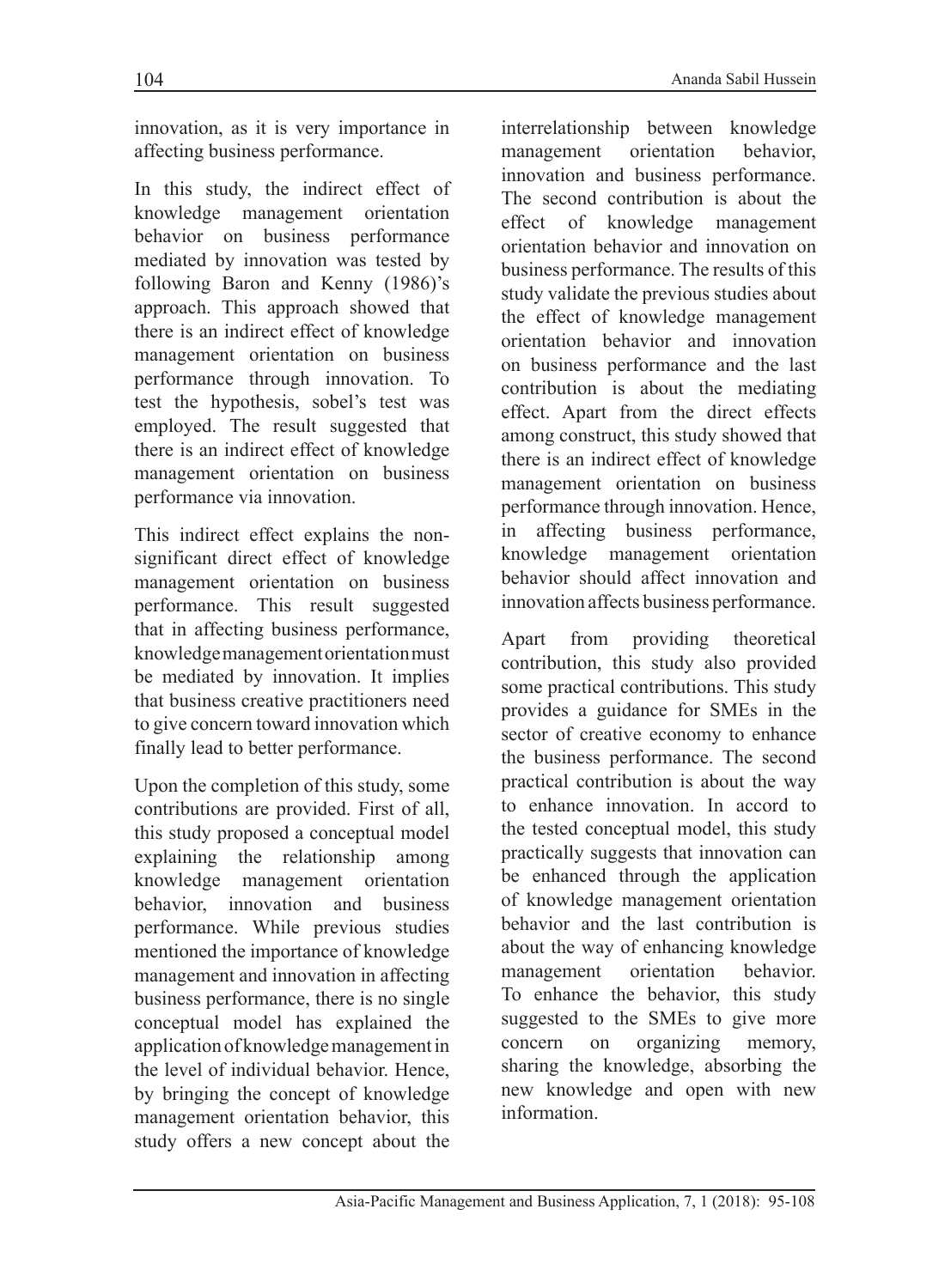innovation, as it is very importance in affecting business performance.

In this study, the indirect effect of knowledge management orientation behavior on business performance mediated by innovation was tested by following Baron and Kenny (1986)'s approach. This approach showed that there is an indirect effect of knowledge management orientation on business performance through innovation. To test the hypothesis, sobel's test was employed. The result suggested that there is an indirect effect of knowledge management orientation on business performance via innovation.

This indirect effect explains the nonsignificant direct effect of knowledge management orientation on business performance. This result suggested that in affecting business performance, knowledge management orientation must be mediated by innovation. It implies that business creative practitioners need to give concern toward innovation which finally lead to better performance.

Upon the completion of this study, some contributions are provided. First of all, this study proposed a conceptual model explaining the relationship among knowledge management orientation behavior, innovation and business performance. While previous studies mentioned the importance of knowledge management and innovation in affecting business performance, there is no single conceptual model has explained the application of knowledge management in the level of individual behavior. Hence, by bringing the concept of knowledge management orientation behavior, this study offers a new concept about the interrelationship between knowledge management orientation behavior, innovation and business performance. The second contribution is about the effect of knowledge management orientation behavior and innovation on business performance. The results of this study validate the previous studies about the effect of knowledge management orientation behavior and innovation on business performance and the last contribution is about the mediating effect. Apart from the direct effects among construct, this study showed that there is an indirect effect of knowledge management orientation on business performance through innovation. Hence, in affecting business performance, knowledge management orientation behavior should affect innovation and innovation affects business performance.

Apart from providing theoretical contribution, this study also provided some practical contributions. This study provides a guidance for SMEs in the sector of creative economy to enhance the business performance. The second practical contribution is about the way to enhance innovation. In accord to the tested conceptual model, this study practically suggests that innovation can be enhanced through the application of knowledge management orientation behavior and the last contribution is about the way of enhancing knowledge management orientation behavior. To enhance the behavior, this study suggested to the SMEs to give more concern on organizing memory, sharing the knowledge, absorbing the new knowledge and open with new information.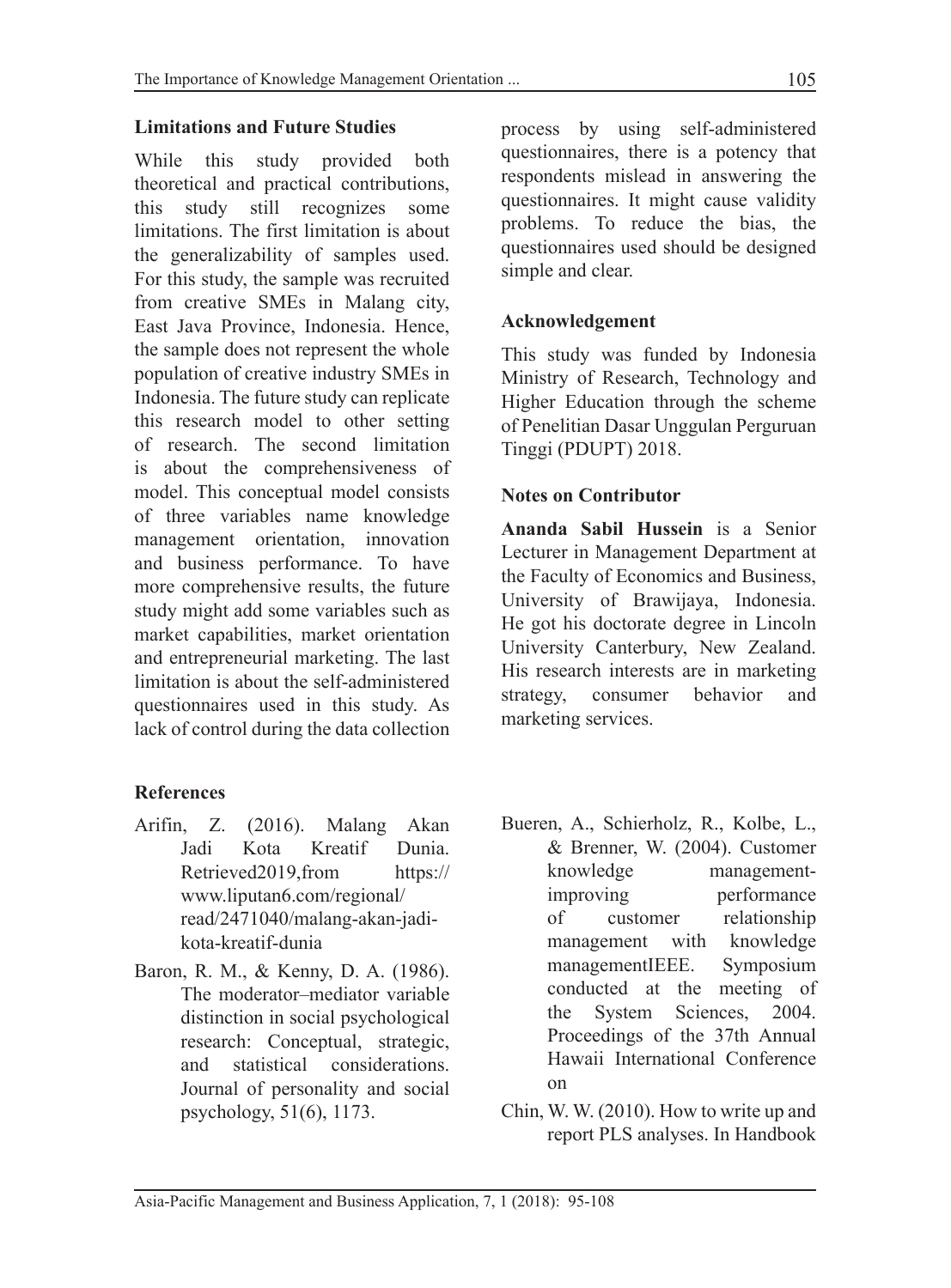## **Limitations and Future Studies**

While this study provided both theoretical and practical contributions, this study still recognizes some limitations. The first limitation is about the generalizability of samples used. For this study, the sample was recruited from creative SMEs in Malang city, East Java Province, Indonesia. Hence, the sample does not represent the whole population of creative industry SMEs in Indonesia. The future study can replicate this research model to other setting of research. The second limitation is about the comprehensiveness of model. This conceptual model consists of three variables name knowledge management orientation, innovation and business performance. To have more comprehensive results, the future study might add some variables such as market capabilities, market orientation and entrepreneurial marketing. The last limitation is about the self-administered questionnaires used in this study. As lack of control during the data collection

## **References**

- Arifin, Z. (2016). Malang Akan Jadi Kota Kreatif Dunia. Retrieved2019,from https:// www.liputan6.com/regional/ read/2471040/malang-akan-jadikota-kreatif-dunia
- Baron, R. M., & Kenny, D. A. (1986). The moderator–mediator variable distinction in social psychological research: Conceptual, strategic, and statistical considerations. Journal of personality and social psychology, 51(6), 1173.

process by using self-administered questionnaires, there is a potency that respondents mislead in answering the questionnaires. It might cause validity problems. To reduce the bias, the questionnaires used should be designed simple and clear.

## **Acknowledgement**

This study was funded by Indonesia Ministry of Research, Technology and Higher Education through the scheme of Penelitian Dasar Unggulan Perguruan Tinggi (PDUPT) 2018.

## **Notes on Contributor**

**Ananda Sabil Hussein** is a Senior Lecturer in Management Department at the Faculty of Economics and Business, University of Brawijaya, Indonesia. He got his doctorate degree in Lincoln University Canterbury, New Zealand. His research interests are in marketing strategy, consumer behavior and marketing services.

- Bueren, A., Schierholz, R., Kolbe, L., & Brenner, W. (2004). Customer knowledge managementimproving performance of customer relationship management with knowledge managementIEEE. Symposium conducted at the meeting of the System Sciences, 2004. Proceedings of the 37th Annual Hawaii International Conference on
- Chin, W. W. (2010). How to write up and report PLS analyses. In Handbook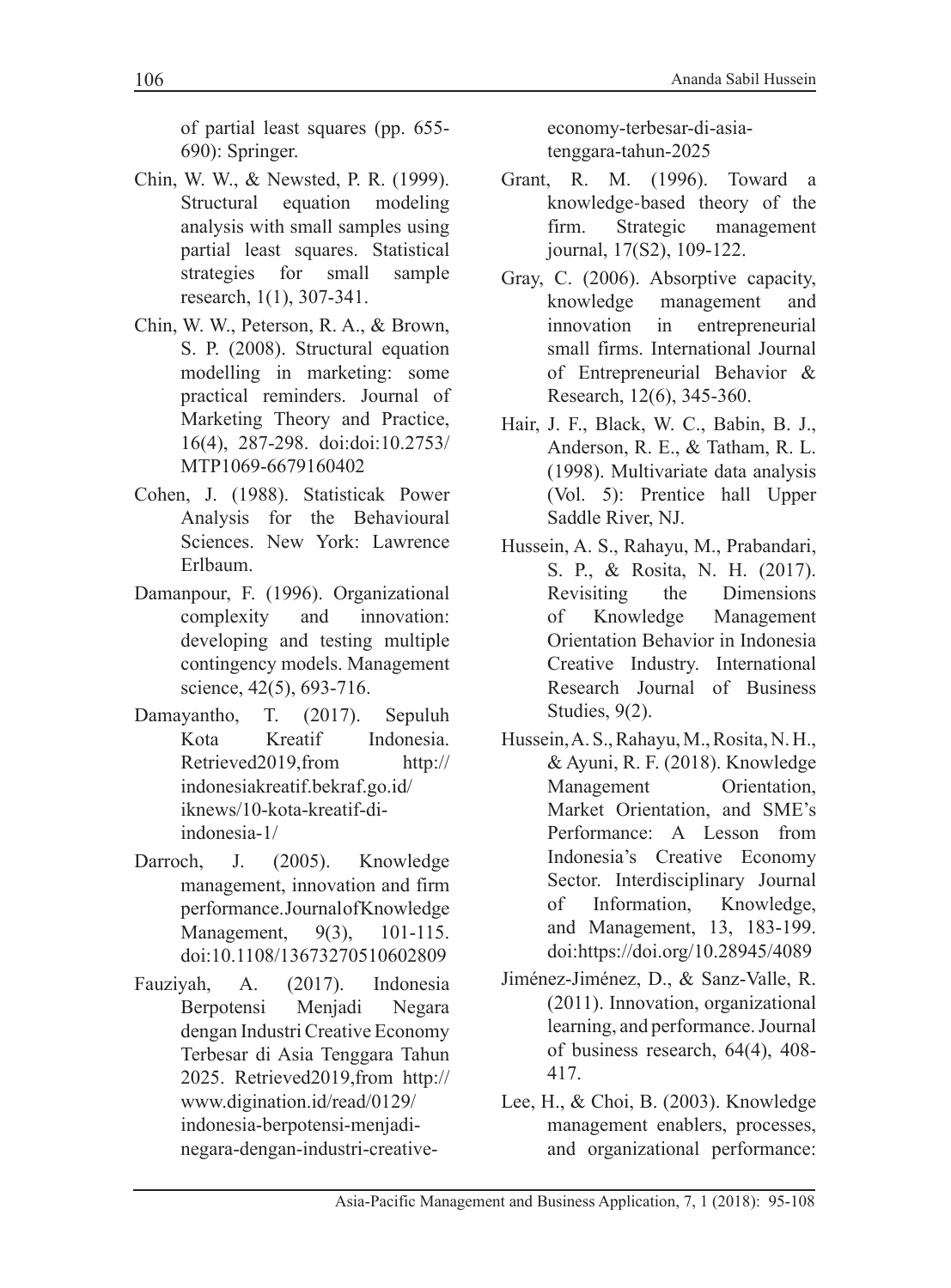of partial least squares (pp. 655- 690): Springer.

- Chin, W. W., & Newsted, P. R. (1999). Structural equation modeling analysis with small samples using partial least squares. Statistical strategies for small sample research, 1(1), 307-341.
- Chin, W. W., Peterson, R. A., & Brown, S. P. (2008). Structural equation modelling in marketing: some practical reminders. Journal of Marketing Theory and Practice, 16(4), 287-298. doi:doi:10.2753/ MTP1069-6679160402
- Cohen, J. (1988). Statisticak Power Analysis for the Behavioural Sciences. New York: Lawrence Erlbaum.
- Damanpour, F. (1996). Organizational complexity and innovation: developing and testing multiple contingency models. Management science, 42(5), 693-716.
- Damayantho, T. (2017). Sepuluh Kota Kreatif Indonesia. Retrieved2019,from http:// indonesiakreatif.bekraf.go.id/ iknews/10-kota-kreatif-diindonesia-1/
- Darroch, J. (2005). Knowledge management, innovation and firm performance. Journal of Knowledge Management, 9(3), 101-115. doi:10.1108/13673270510602809
- Fauziyah, A. (2017). Indonesia Berpotensi Menjadi Negara dengan Industri Creative Economy Terbesar di Asia Tenggara Tahun 2025. Retrieved2019,from http:// www.digination.id/read/0129/ indonesia-berpotensi-menjadinegara-dengan-industri-creative-

economy-terbesar-di-asiatenggara-tahun-2025

- Grant, R. M. (1996). Toward a knowledge‐based theory of the firm. Strategic management journal, 17(S2), 109-122.
- Gray, C. (2006). Absorptive capacity, knowledge management and innovation in entrepreneurial small firms. International Journal of Entrepreneurial Behavior & Research, 12(6), 345-360.
- Hair, J. F., Black, W. C., Babin, B. J., Anderson, R. E., & Tatham, R. L. (1998). Multivariate data analysis (Vol. 5): Prentice hall Upper Saddle River, NJ.
- Hussein, A. S., Rahayu, M., Prabandari, S. P., & Rosita, N. H. (2017). Revisiting the Dimensions of Knowledge Management Orientation Behavior in Indonesia Creative Industry. International Research Journal of Business Studies, 9(2).
- Hussein, A. S., Rahayu, M., Rosita, N. H., & Ayuni, R. F. (2018). Knowledge Management Orientation, Market Orientation, and SME's Performance: A Lesson from Indonesia's Creative Economy Sector. Interdisciplinary Journal of Information, Knowledge, and Management, 13, 183-199. doi:https://doi.org/10.28945/4089
- Jiménez-Jiménez, D., & Sanz-Valle, R. (2011). Innovation, organizational learning, and performance. Journal of business research, 64(4), 408- 417.
- Lee, H., & Choi, B. (2003). Knowledge management enablers, processes, and organizational performance: